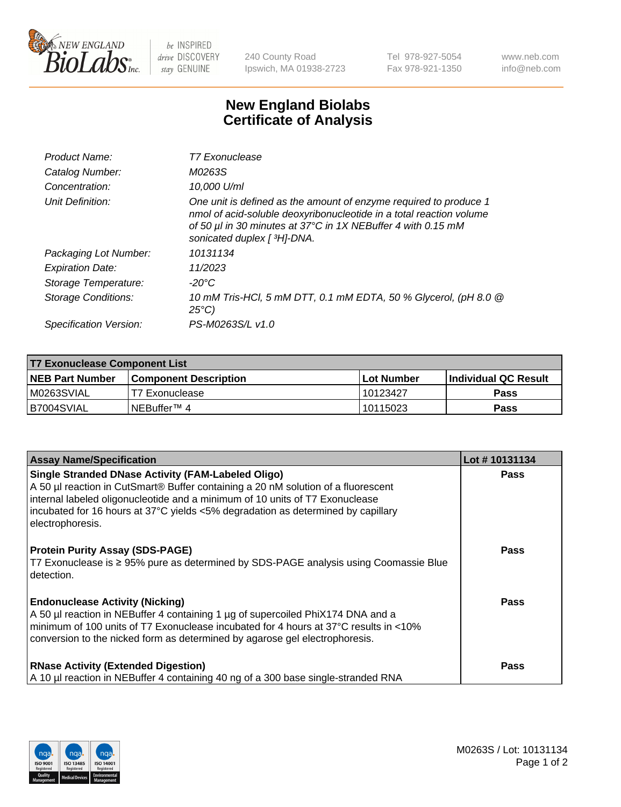

 $be$  INSPIRED drive DISCOVERY stay GENUINE

240 County Road Ipswich, MA 01938-2723 Tel 978-927-5054 Fax 978-921-1350 www.neb.com info@neb.com

## **New England Biolabs Certificate of Analysis**

| Product Name:           | <b>T7 Exonuclease</b>                                                                                                                                                                                                                   |
|-------------------------|-----------------------------------------------------------------------------------------------------------------------------------------------------------------------------------------------------------------------------------------|
| Catalog Number:         | M0263S                                                                                                                                                                                                                                  |
| Concentration:          | 10,000 U/ml                                                                                                                                                                                                                             |
| Unit Definition:        | One unit is defined as the amount of enzyme required to produce 1<br>nmol of acid-soluble deoxyribonucleotide in a total reaction volume<br>of 50 µl in 30 minutes at 37°C in 1X NEBuffer 4 with 0.15 mM<br>sonicated duplex [ 3H]-DNA. |
| Packaging Lot Number:   | 10131134                                                                                                                                                                                                                                |
| <b>Expiration Date:</b> | 11/2023                                                                                                                                                                                                                                 |
| Storage Temperature:    | $-20^{\circ}$ C                                                                                                                                                                                                                         |
| Storage Conditions:     | 10 mM Tris-HCl, 5 mM DTT, 0.1 mM EDTA, 50 % Glycerol, (pH 8.0 @<br>$25^{\circ}C$                                                                                                                                                        |
| Specification Version:  | PS-M0263S/L v1.0                                                                                                                                                                                                                        |

| T7 Exonuclease Component List |                         |                   |                       |  |
|-------------------------------|-------------------------|-------------------|-----------------------|--|
| <b>NEB Part Number</b>        | l Component Description | <b>Lot Number</b> | ∣Individual QC Result |  |
| M0263SVIAL                    | T7 Exonuclease          | 10123427          | <b>Pass</b>           |  |
| B7004SVIAL                    | INEBuffer™ 4            | 10115023          | <b>Pass</b>           |  |

| <b>Assay Name/Specification</b>                                                                                                                                                                                                                                                                                                 | Lot #10131134 |
|---------------------------------------------------------------------------------------------------------------------------------------------------------------------------------------------------------------------------------------------------------------------------------------------------------------------------------|---------------|
| Single Stranded DNase Activity (FAM-Labeled Oligo)<br>A 50 µl reaction in CutSmart® Buffer containing a 20 nM solution of a fluorescent<br>internal labeled oligonucleotide and a minimum of 10 units of T7 Exonuclease<br>incubated for 16 hours at 37°C yields <5% degradation as determined by capillary<br>electrophoresis. | <b>Pass</b>   |
| <b>Protein Purity Assay (SDS-PAGE)</b><br>T7 Exonuclease is ≥ 95% pure as determined by SDS-PAGE analysis using Coomassie Blue<br>detection.                                                                                                                                                                                    | <b>Pass</b>   |
| <b>Endonuclease Activity (Nicking)</b><br>A 50 µl reaction in NEBuffer 4 containing 1 µg of supercoiled PhiX174 DNA and a<br>$\vert$ minimum of 100 units of T7 Exonuclease incubated for 4 hours at 37°C results in <10%<br>conversion to the nicked form as determined by agarose gel electrophoresis.                        | Pass          |
| <b>RNase Activity (Extended Digestion)</b><br>A 10 µl reaction in NEBuffer 4 containing 40 ng of a 300 base single-stranded RNA                                                                                                                                                                                                 | Pass          |